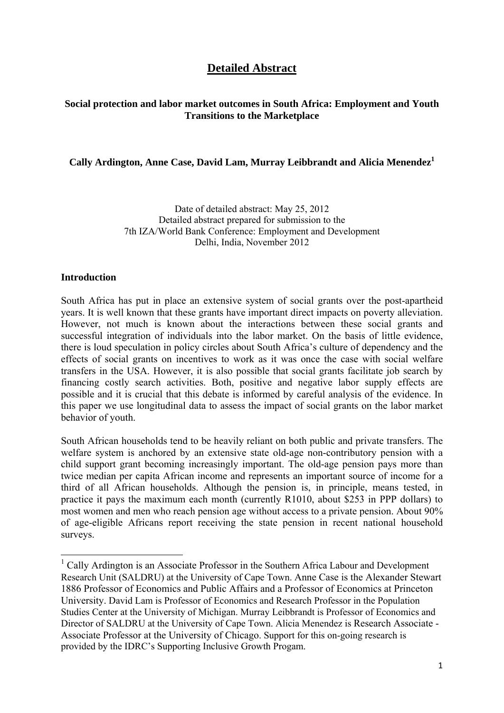# **Detailed Abstract**

### **Social protection and labor market outcomes in South Africa: Employment and Youth Transitions to the Marketplace**

#### **Cally Ardington, Anne Case, David Lam, Murray Leibbrandt and Alicia Menendez1**

Date of detailed abstract: May 25, 2012 Detailed abstract prepared for submission to the 7th IZA/World Bank Conference: Employment and Development Delhi, India, November 2012

#### **Introduction**

South Africa has put in place an extensive system of social grants over the post-apartheid years. It is well known that these grants have important direct impacts on poverty alleviation. However, not much is known about the interactions between these social grants and successful integration of individuals into the labor market. On the basis of little evidence, there is loud speculation in policy circles about South Africa's culture of dependency and the effects of social grants on incentives to work as it was once the case with social welfare transfers in the USA. However, it is also possible that social grants facilitate job search by financing costly search activities. Both, positive and negative labor supply effects are possible and it is crucial that this debate is informed by careful analysis of the evidence. In this paper we use longitudinal data to assess the impact of social grants on the labor market behavior of youth.

South African households tend to be heavily reliant on both public and private transfers. The welfare system is anchored by an extensive state old-age non-contributory pension with a child support grant becoming increasingly important. The old-age pension pays more than twice median per capita African income and represents an important source of income for a third of all African households. Although the pension is, in principle, means tested, in practice it pays the maximum each month (currently R1010, about \$253 in PPP dollars) to most women and men who reach pension age without access to a private pension. About 90% of age-eligible Africans report receiving the state pension in recent national household surveys.

<sup>&</sup>lt;sup>1</sup> Cally Ardington is an Associate Professor in the Southern Africa Labour and Development Research Unit (SALDRU) at the University of Cape Town. Anne Case is the Alexander Stewart 1886 Professor of Economics and Public Affairs and a Professor of Economics at Princeton University. David Lam is Professor of Economics and Research Professor in the Population Studies Center at the University of Michigan. Murray Leibbrandt is Professor of Economics and Director of SALDRU at the University of Cape Town. Alicia Menendez is Research Associate - Associate Professor at the University of Chicago. Support for this on-going research is provided by the IDRC's Supporting Inclusive Growth Progam.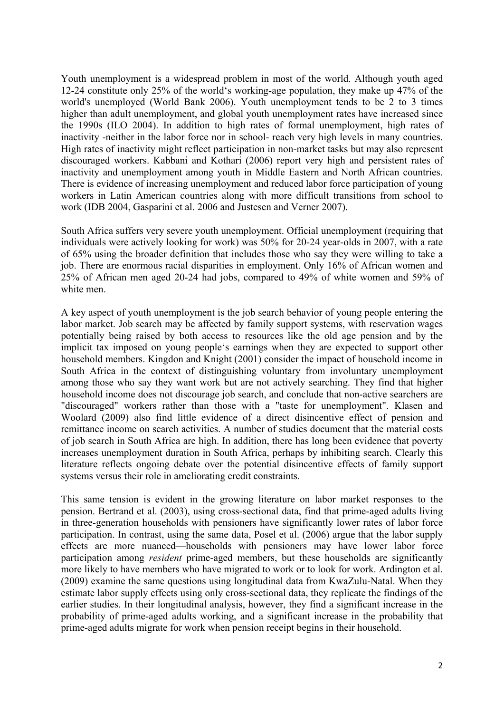Youth unemployment is a widespread problem in most of the world. Although youth aged 12-24 constitute only 25% of the world's working-age population, they make up 47% of the world's unemployed (World Bank 2006). Youth unemployment tends to be 2 to 3 times higher than adult unemployment, and global youth unemployment rates have increased since the 1990s (ILO 2004). In addition to high rates of formal unemployment, high rates of inactivity -neither in the labor force nor in school- reach very high levels in many countries. High rates of inactivity might reflect participation in non-market tasks but may also represent discouraged workers. Kabbani and Kothari (2006) report very high and persistent rates of inactivity and unemployment among youth in Middle Eastern and North African countries. There is evidence of increasing unemployment and reduced labor force participation of young workers in Latin American countries along with more difficult transitions from school to work (IDB 2004, Gasparini et al. 2006 and Justesen and Verner 2007).

South Africa suffers very severe youth unemployment. Official unemployment (requiring that individuals were actively looking for work) was 50% for 20-24 year-olds in 2007, with a rate of 65% using the broader definition that includes those who say they were willing to take a job. There are enormous racial disparities in employment. Only 16% of African women and 25% of African men aged 20-24 had jobs, compared to 49% of white women and 59% of white men.

A key aspect of youth unemployment is the job search behavior of young people entering the labor market. Job search may be affected by family support systems, with reservation wages potentially being raised by both access to resources like the old age pension and by the implicit tax imposed on young people's earnings when they are expected to support other household members. Kingdon and Knight (2001) consider the impact of household income in South Africa in the context of distinguishing voluntary from involuntary unemployment among those who say they want work but are not actively searching. They find that higher household income does not discourage job search, and conclude that non-active searchers are "discouraged" workers rather than those with a "taste for unemployment". Klasen and Woolard (2009) also find little evidence of a direct disincentive effect of pension and remittance income on search activities. A number of studies document that the material costs of job search in South Africa are high. In addition, there has long been evidence that poverty increases unemployment duration in South Africa, perhaps by inhibiting search. Clearly this literature reflects ongoing debate over the potential disincentive effects of family support systems versus their role in ameliorating credit constraints.

This same tension is evident in the growing literature on labor market responses to the pension. Bertrand et al. (2003), using cross-sectional data, find that prime-aged adults living in three-generation households with pensioners have significantly lower rates of labor force participation. In contrast, using the same data, Posel et al. (2006) argue that the labor supply effects are more nuanced—households with pensioners may have lower labor force participation among *resident* prime-aged members, but these households are significantly more likely to have members who have migrated to work or to look for work. Ardington et al. (2009) examine the same questions using longitudinal data from KwaZulu-Natal. When they estimate labor supply effects using only cross-sectional data, they replicate the findings of the earlier studies. In their longitudinal analysis, however, they find a significant increase in the probability of prime-aged adults working, and a significant increase in the probability that prime-aged adults migrate for work when pension receipt begins in their household.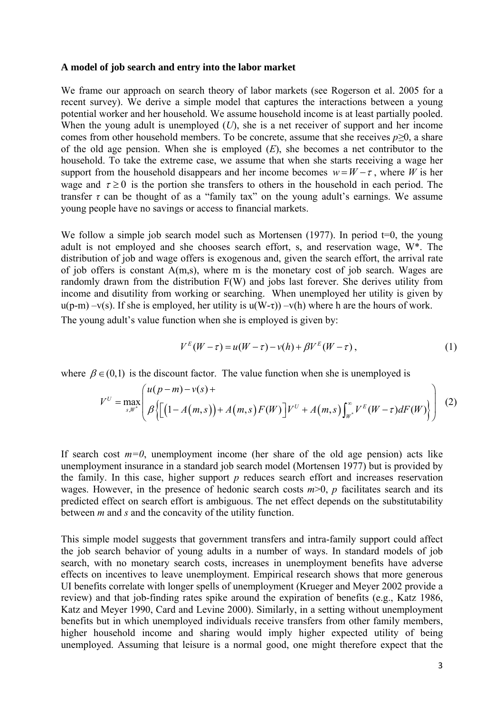#### **A model of job search and entry into the labor market**

We frame our approach on search theory of labor markets (see Rogerson et al. 2005 for a recent survey). We derive a simple model that captures the interactions between a young potential worker and her household. We assume household income is at least partially pooled. When the young adult is unemployed  $(U)$ , she is a net receiver of support and her income comes from other household members. To be concrete, assume that she receives *p≥*0, a share of the old age pension. When she is employed (*E*), she becomes a net contributor to the household. To take the extreme case, we assume that when she starts receiving a wage her support from the household disappears and her income becomes  $w = W - \tau$ , where *W* is her wage and  $\tau \ge 0$  is the portion she transfers to others in the household in each period. The transfer  $\tau$  can be thought of as a "family tax" on the young adult's earnings. We assume young people have no savings or access to financial markets.

We follow a simple job search model such as Mortensen (1977). In period  $t=0$ , the young adult is not employed and she chooses search effort, s, and reservation wage, W\*. The distribution of job and wage offers is exogenous and, given the search effort, the arrival rate of job offers is constant A(m,s), where m is the monetary cost of job search. Wages are randomly drawn from the distribution F(W) and jobs last forever. She derives utility from income and disutility from working or searching. When unemployed her utility is given by  $u(p-m) - v(s)$ . If she is employed, her utility is  $u(W-\tau) - v(h)$  where h are the hours of work.

The young adult's value function when she is employed is given by:

$$
V^{E}(W-\tau) = u(W-\tau) - v(h) + \beta V^{E}(W-\tau), \qquad (1)
$$

where  $\beta \in (0,1)$  is the discount factor. The value function when she is unemployed is

$$
V^{U} = \max_{s, W^{*}} \left( \mu(p-m) - \nu(s) + A(m, s) F(W) \right) V^{U} + A(m, s) \int_{W^{*}}^{\infty} V^{E}(W - \tau) dF(W) \right) \tag{2}
$$

If search cost  $m=0$ , unemployment income (her share of the old age pension) acts like unemployment insurance in a standard job search model (Mortensen 1977) but is provided by the family. In this case, higher support *p* reduces search effort and increases reservation wages. However, in the presence of hedonic search costs  $m>0$ ,  $p$  facilitates search and its predicted effect on search effort is ambiguous. The net effect depends on the substitutability between *m* and *s* and the concavity of the utility function.

This simple model suggests that government transfers and intra-family support could affect the job search behavior of young adults in a number of ways. In standard models of job search, with no monetary search costs, increases in unemployment benefits have adverse effects on incentives to leave unemployment. Empirical research shows that more generous UI benefits correlate with longer spells of unemployment (Krueger and Meyer 2002 provide a review) and that job-finding rates spike around the expiration of benefits (e.g., Katz 1986, Katz and Meyer 1990, Card and Levine 2000). Similarly, in a setting without unemployment benefits but in which unemployed individuals receive transfers from other family members, higher household income and sharing would imply higher expected utility of being unemployed. Assuming that leisure is a normal good, one might therefore expect that the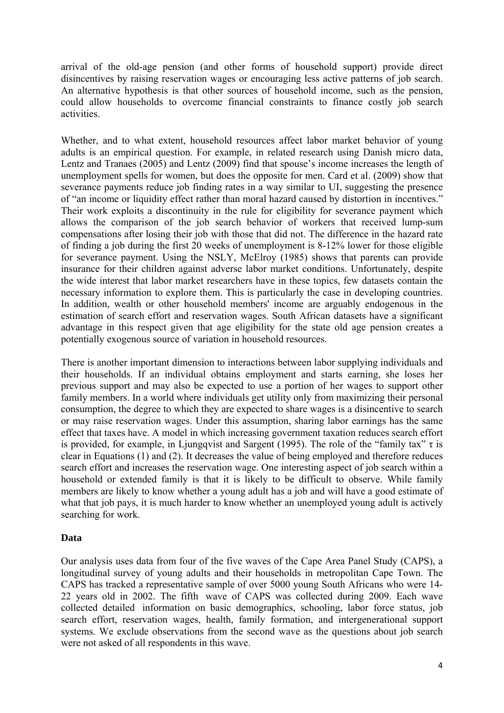arrival of the old-age pension (and other forms of household support) provide direct disincentives by raising reservation wages or encouraging less active patterns of job search. An alternative hypothesis is that other sources of household income, such as the pension, could allow households to overcome financial constraints to finance costly job search activities.

Whether, and to what extent, household resources affect labor market behavior of young adults is an empirical question. For example, in related research using Danish micro data, Lentz and Tranaes (2005) and Lentz (2009) find that spouse's income increases the length of unemployment spells for women, but does the opposite for men. Card et al. (2009) show that severance payments reduce job finding rates in a way similar to UI, suggesting the presence of "an income or liquidity effect rather than moral hazard caused by distortion in incentives." Their work exploits a discontinuity in the rule for eligibility for severance payment which allows the comparison of the job search behavior of workers that received lump-sum compensations after losing their job with those that did not. The difference in the hazard rate of finding a job during the first 20 weeks of unemployment is 8-12% lower for those eligible for severance payment. Using the NSLY, McElroy (1985) shows that parents can provide insurance for their children against adverse labor market conditions. Unfortunately, despite the wide interest that labor market researchers have in these topics, few datasets contain the necessary information to explore them. This is particularly the case in developing countries. In addition, wealth or other household members' income are arguably endogenous in the estimation of search effort and reservation wages. South African datasets have a significant advantage in this respect given that age eligibility for the state old age pension creates a potentially exogenous source of variation in household resources.

There is another important dimension to interactions between labor supplying individuals and their households. If an individual obtains employment and starts earning, she loses her previous support and may also be expected to use a portion of her wages to support other family members. In a world where individuals get utility only from maximizing their personal consumption, the degree to which they are expected to share wages is a disincentive to search or may raise reservation wages. Under this assumption, sharing labor earnings has the same effect that taxes have. A model in which increasing government taxation reduces search effort is provided, for example, in Ljungqvist and Sargent (1995). The role of the "family tax"  $\tau$  is clear in Equations (1) and (2). It decreases the value of being employed and therefore reduces search effort and increases the reservation wage. One interesting aspect of job search within a household or extended family is that it is likely to be difficult to observe. While family members are likely to know whether a young adult has a job and will have a good estimate of what that job pays, it is much harder to know whether an unemployed young adult is actively searching for work.

### **Data**

Our analysis uses data from four of the five waves of the Cape Area Panel Study (CAPS), a longitudinal survey of young adults and their households in metropolitan Cape Town. The CAPS has tracked a representative sample of over 5000 young South Africans who were 14- 22 years old in 2002. The fifth wave of CAPS was collected during 2009. Each wave collected detailed information on basic demographics, schooling, labor force status, job search effort, reservation wages, health, family formation, and intergenerational support systems. We exclude observations from the second wave as the questions about job search were not asked of all respondents in this wave.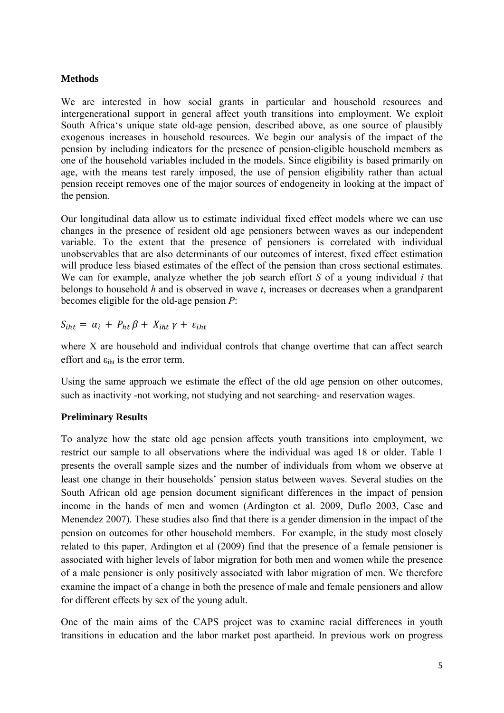#### **Methods**

We are interested in how social grants in particular and household resources and intergenerational support in general affect youth transitions into employment. We exploit South Africa's unique state old-age pension, described above, as one source of plausibly exogenous increases in household resources. We begin our analysis of the impact of the pension by including indicators for the presence of pension-eligible household members as one of the household variables included in the models. Since eligibility is based primarily on age, with the means test rarely imposed, the use of pension eligibility rather than actual pension receipt removes one of the major sources of endogeneity in looking at the impact of the pension.

Our longitudinal data allow us to estimate individual fixed effect models where we can use changes in the presence of resident old age pensioners between waves as our independent variable. To the extent that the presence of pensioners is correlated with individual unobservables that are also determinants of our outcomes of interest, fixed effect estimation will produce less biased estimates of the effect of the pension than cross sectional estimates. We can for example, analyze whether the job search effort *S* of a young individual *i* that belongs to household *h* and is observed in wave *t*, increases or decreases when a grandparent becomes eligible for the old-age pension *P*:

 $S_{iht} = \alpha_i + P_{ht} \beta + X_{iht} \gamma + \varepsilon_{iht}$ 

where X are household and individual controls that change overtime that can affect search effort and  $\varepsilon_{\text{int}}$  is the error term.

Using the same approach we estimate the effect of the old age pension on other outcomes, such as inactivity -not working, not studying and not searching- and reservation wages.

### **Preliminary Results**

To analyze how the state old age pension affects youth transitions into employment, we restrict our sample to all observations where the individual was aged 18 or older. Table 1 presents the overall sample sizes and the number of individuals from whom we observe at least one change in their households' pension status between waves. Several studies on the South African old age pension document significant differences in the impact of pension income in the hands of men and women (Ardington et al. 2009, Duflo 2003, Case and Menendez 2007). These studies also find that there is a gender dimension in the impact of the pension on outcomes for other household members. For example, in the study most closely related to this paper, Ardington et al (2009) find that the presence of a female pensioner is associated with higher levels of labor migration for both men and women while the presence of a male pensioner is only positively associated with labor migration of men. We therefore examine the impact of a change in both the presence of male and female pensioners and allow for different effects by sex of the young adult.

One of the main aims of the CAPS project was to examine racial differences in youth transitions in education and the labor market post apartheid. In previous work on progress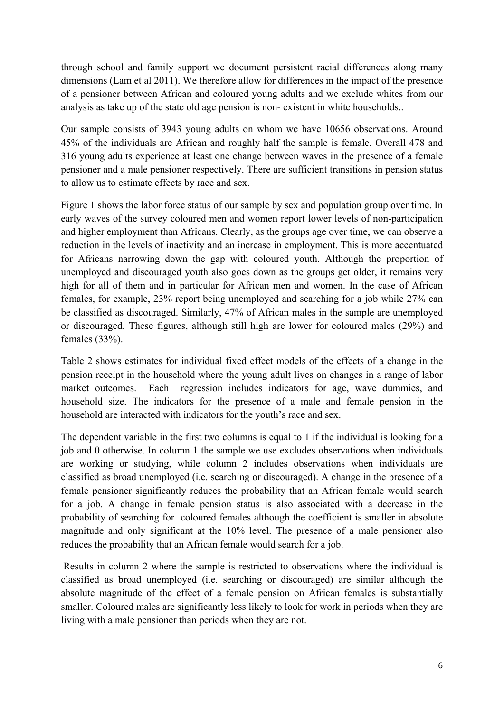through school and family support we document persistent racial differences along many dimensions (Lam et al 2011). We therefore allow for differences in the impact of the presence of a pensioner between African and coloured young adults and we exclude whites from our analysis as take up of the state old age pension is non- existent in white households..

Our sample consists of 3943 young adults on whom we have 10656 observations. Around 45% of the individuals are African and roughly half the sample is female. Overall 478 and 316 young adults experience at least one change between waves in the presence of a female pensioner and a male pensioner respectively. There are sufficient transitions in pension status to allow us to estimate effects by race and sex.

Figure 1 shows the labor force status of our sample by sex and population group over time. In early waves of the survey coloured men and women report lower levels of non-participation and higher employment than Africans. Clearly, as the groups age over time, we can observe a reduction in the levels of inactivity and an increase in employment. This is more accentuated for Africans narrowing down the gap with coloured youth. Although the proportion of unemployed and discouraged youth also goes down as the groups get older, it remains very high for all of them and in particular for African men and women. In the case of African females, for example, 23% report being unemployed and searching for a job while 27% can be classified as discouraged. Similarly, 47% of African males in the sample are unemployed or discouraged. These figures, although still high are lower for coloured males (29%) and females (33%).

Table 2 shows estimates for individual fixed effect models of the effects of a change in the pension receipt in the household where the young adult lives on changes in a range of labor market outcomes. Each regression includes indicators for age, wave dummies, and household size. The indicators for the presence of a male and female pension in the household are interacted with indicators for the youth's race and sex.

The dependent variable in the first two columns is equal to 1 if the individual is looking for a job and 0 otherwise. In column 1 the sample we use excludes observations when individuals are working or studying, while column 2 includes observations when individuals are classified as broad unemployed (i.e. searching or discouraged). A change in the presence of a female pensioner significantly reduces the probability that an African female would search for a job. A change in female pension status is also associated with a decrease in the probability of searching for coloured females although the coefficient is smaller in absolute magnitude and only significant at the 10% level. The presence of a male pensioner also reduces the probability that an African female would search for a job.

 Results in column 2 where the sample is restricted to observations where the individual is classified as broad unemployed (i.e. searching or discouraged) are similar although the absolute magnitude of the effect of a female pension on African females is substantially smaller. Coloured males are significantly less likely to look for work in periods when they are living with a male pensioner than periods when they are not.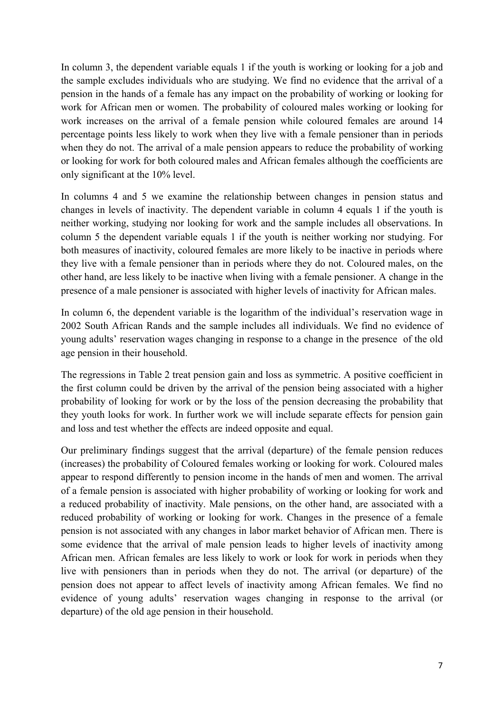In column 3, the dependent variable equals 1 if the youth is working or looking for a job and the sample excludes individuals who are studying. We find no evidence that the arrival of a pension in the hands of a female has any impact on the probability of working or looking for work for African men or women. The probability of coloured males working or looking for work increases on the arrival of a female pension while coloured females are around 14 percentage points less likely to work when they live with a female pensioner than in periods when they do not. The arrival of a male pension appears to reduce the probability of working or looking for work for both coloured males and African females although the coefficients are only significant at the 10% level.

In columns 4 and 5 we examine the relationship between changes in pension status and changes in levels of inactivity. The dependent variable in column 4 equals 1 if the youth is neither working, studying nor looking for work and the sample includes all observations. In column 5 the dependent variable equals 1 if the youth is neither working nor studying. For both measures of inactivity, coloured females are more likely to be inactive in periods where they live with a female pensioner than in periods where they do not. Coloured males, on the other hand, are less likely to be inactive when living with a female pensioner. A change in the presence of a male pensioner is associated with higher levels of inactivity for African males.

In column 6, the dependent variable is the logarithm of the individual's reservation wage in 2002 South African Rands and the sample includes all individuals. We find no evidence of young adults' reservation wages changing in response to a change in the presence of the old age pension in their household.

The regressions in Table 2 treat pension gain and loss as symmetric. A positive coefficient in the first column could be driven by the arrival of the pension being associated with a higher probability of looking for work or by the loss of the pension decreasing the probability that they youth looks for work. In further work we will include separate effects for pension gain and loss and test whether the effects are indeed opposite and equal.

Our preliminary findings suggest that the arrival (departure) of the female pension reduces (increases) the probability of Coloured females working or looking for work. Coloured males appear to respond differently to pension income in the hands of men and women. The arrival of a female pension is associated with higher probability of working or looking for work and a reduced probability of inactivity. Male pensions, on the other hand, are associated with a reduced probability of working or looking for work. Changes in the presence of a female pension is not associated with any changes in labor market behavior of African men. There is some evidence that the arrival of male pension leads to higher levels of inactivity among African men. African females are less likely to work or look for work in periods when they live with pensioners than in periods when they do not. The arrival (or departure) of the pension does not appear to affect levels of inactivity among African females. We find no evidence of young adults' reservation wages changing in response to the arrival (or departure) of the old age pension in their household.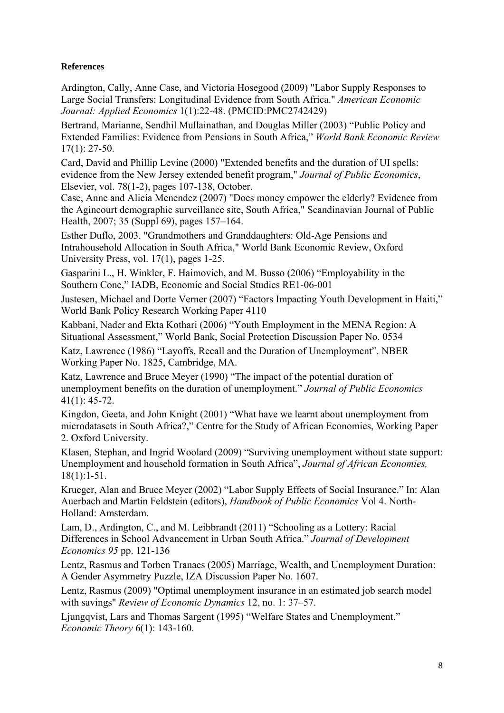#### **References**

Ardington, Cally, Anne Case, and Victoria Hosegood (2009) "Labor Supply Responses to Large Social Transfers: Longitudinal Evidence from South Africa." *American Economic Journal: Applied Economics* 1(1):22-48. (PMCID:PMC2742429)

Bertrand, Marianne, Sendhil Mullainathan, and Douglas Miller (2003) "Public Policy and Extended Families: Evidence from Pensions in South Africa," *World Bank Economic Review* 17(1): 27-50.

Card, David and Phillip Levine (2000) "Extended benefits and the duration of UI spells: evidence from the New Jersey extended benefit program," *Journal of Public Economics*, Elsevier, vol. 78(1-2), pages 107-138, October.

Case, Anne and Alicia Menendez (2007) "Does money empower the elderly? Evidence from the Agincourt demographic surveillance site, South Africa," Scandinavian Journal of Public Health, 2007; 35 (Suppl 69), pages 157–164.

Esther Duflo, 2003. "Grandmothers and Granddaughters: Old-Age Pensions and Intrahousehold Allocation in South Africa," World Bank Economic Review, Oxford University Press, vol. 17(1), pages 1-25.

Gasparini L., H. Winkler, F. Haimovich, and M. Busso (2006) "Employability in the Southern Cone," IADB, Economic and Social Studies RE1-06-001

Justesen, Michael and Dorte Verner (2007) "Factors Impacting Youth Development in Haiti," World Bank Policy Research Working Paper 4110

Kabbani, Nader and Ekta Kothari (2006) "Youth Employment in the MENA Region: A Situational Assessment," World Bank, Social Protection Discussion Paper No. 0534

Katz, Lawrence (1986) "Layoffs, Recall and the Duration of Unemployment". NBER Working Paper No. 1825, Cambridge, MA.

Katz, Lawrence and Bruce Meyer (1990) "The impact of the potential duration of unemployment benefits on the duration of unemployment." *Journal of Public Economics* 41(1): 45-72.

Kingdon, Geeta, and John Knight (2001) "What have we learnt about unemployment from microdatasets in South Africa?," Centre for the Study of African Economies, Working Paper 2. Oxford University.

Klasen, Stephan, and Ingrid Woolard (2009) "Surviving unemployment without state support: Unemployment and household formation in South Africa", *Journal of African Economies,* 18(1):1-51.

Krueger, Alan and Bruce Meyer (2002) "Labor Supply Effects of Social Insurance." In: Alan Auerbach and Martin Feldstein (editors), *Handbook of Public Economics* Vol 4. North-Holland: Amsterdam.

Lam, D., Ardington, C., and M. Leibbrandt (2011) "Schooling as a Lottery: Racial Differences in School Advancement in Urban South Africa." *Journal of Development Economics 95* pp. 121-136

Lentz, Rasmus and Torben Tranaes (2005) Marriage, Wealth, and Unemployment Duration: A Gender Asymmetry Puzzle, IZA Discussion Paper No. 1607.

Lentz, Rasmus (2009) "Optimal unemployment insurance in an estimated job search model with savings" *Review of Economic Dynamics* 12, no. 1: 37–57.

Ljungqvist, Lars and Thomas Sargent (1995) "Welfare States and Unemployment." *Economic Theory* 6(1): 143-160.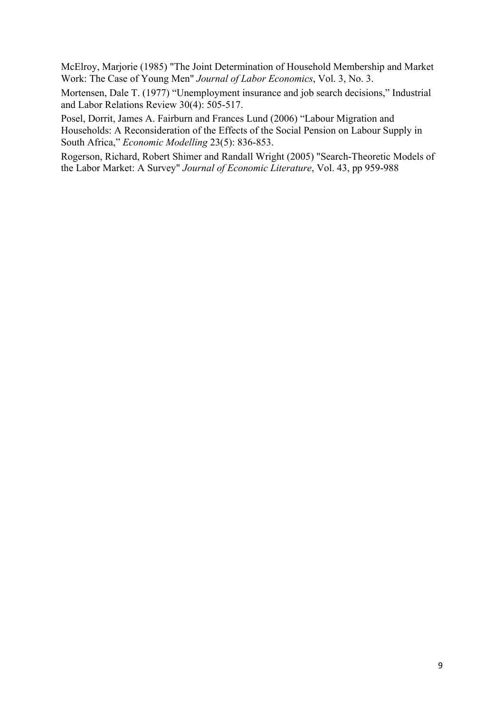McElroy, Marjorie (1985) "The Joint Determination of Household Membership and Market Work: The Case of Young Men" *Journal of Labor Economics*, Vol. 3, No. 3.

Mortensen, Dale T. (1977) "Unemployment insurance and job search decisions," Industrial and Labor Relations Review 30(4): 505-517.

Posel, Dorrit, James A. Fairburn and Frances Lund (2006) "Labour Migration and Households: A Reconsideration of the Effects of the Social Pension on Labour Supply in South Africa," *Economic Modelling* 23(5): 836-853.

Rogerson, Richard, Robert Shimer and Randall Wright (2005) "Search-Theoretic Models of the Labor Market: A Survey" *Journal of Economic Literature*, Vol. 43, pp 959-988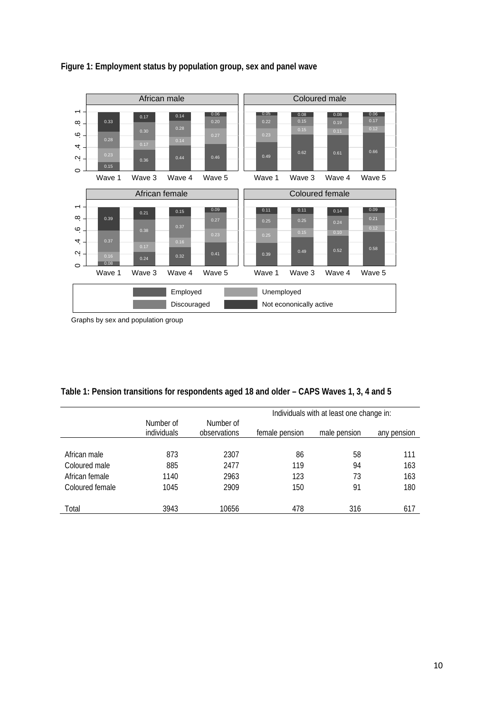

## **Figure 1: Employment status by population group, sex and panel wave**

Graphs by sex and population group

|  | Table 1: Pension transitions for respondents aged 18 and older – CAPS Waves 1, 3, 4 and 5 |  |
|--|-------------------------------------------------------------------------------------------|--|
|--|-------------------------------------------------------------------------------------------|--|

|                 |                          |                           | Individuals with at least one change in: |              |             |  |
|-----------------|--------------------------|---------------------------|------------------------------------------|--------------|-------------|--|
|                 | Number of<br>individuals | Number of<br>observations | female pension                           | male pension | any pension |  |
|                 |                          |                           |                                          |              |             |  |
| African male    | 873                      | 2307                      | 86                                       | 58           | 111         |  |
| Coloured male   | 885                      | 2477                      | 119                                      | 94           | 163         |  |
| African female  | 1140                     | 2963                      | 123                                      | 73           | 163         |  |
| Coloured female | 1045                     | 2909                      | 150                                      | 91           | 180         |  |
|                 |                          |                           |                                          |              |             |  |
| Total           | 3943                     | 10656                     | 478                                      | 316          | 617         |  |